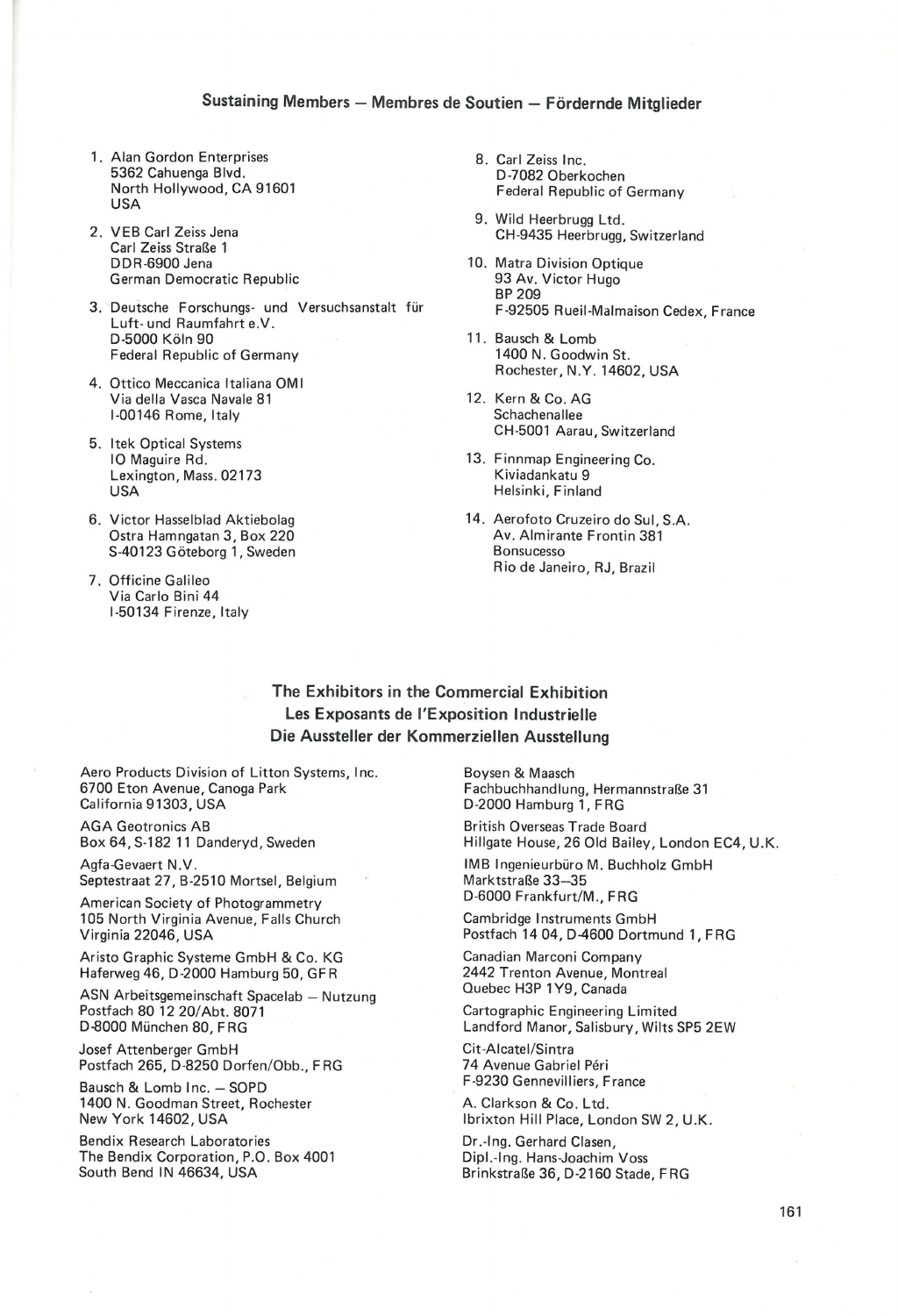## **Sustaining Members- Membres de Soutien- Fordernde Mitglieder**

- 1. Alan Gordon Enterprises 8. Carl Zeiss Inc.<br>5362 Cahuenga Blvd. 8. Carl Zeiss Inc. 5362 Cahuenga Blvd. D-7082 Oberkochen North Hollywood, CA 91601 Federal Republic of Germany<br>USA
- Carl Zeiss Straße 1<br>DDR-6900 Jena German Democratic Republic
- 3. Deutsche Forschungs- und Versuchsanstalt für Luft- und Raumfahrt e.V.<br>D-5000 Köln 90 Federal Republic of Germany
- 4. Ottico Meccanica ltaliana OM I Via della Vasca Navale 81 12. Kern & Co. AG<br>1991 1-00146 Rome, Italy 12. Kern & Co. AG 1-00146 Rome, Italy
- 5. ltek Optical Systems Lexington, Mass. 02173 USA Helsinki, Finland
- Ostra Hamngatan 3, Box 220<br>S-40123 Göteborg 1, Sweden Av. Almirante Frontin 380nsucesso S-40123 Göteborg 1, Sweden
- 7. Officine Galileo Via Carlo Bini 44 1-50134 F irenze, Italy
- 
- 9. Wild Heerbrugg Ltd. 2. VEB Carl Zeiss Jena CH-9435 Heerbrugg, Switzerland
	- 10. Matra Division Optique<br>93 Av. Victor Hugo BP 209<br>F-92505 Rueil-Malmaison Cedex, France
	- 11. Bausch & Lomb<br>1400 N. Goodwin St. Rochester, N.Y. 14602, USA
	- CH-5001 Aarau, Switzerland
	- 13. Finnmap Engineering Co.<br>Kiviadankatu 9
- 6. Victor Hasselblad Aktiebolag 14. Aerofoto Cruzeiro do Sul, S.A.<br>Ostra Hamngatan 3, Box 220 Av. Almirante Frontin 381 Rio de Janeiro, RJ, Brazil

## **The Exhibitors in the Commercial Exhibition Les Exposants de !'Exposition lndustrielle Die Aussteller der Kommerziellen Ausstellung**

Aero Products Division of Litton Systems, Inc. 6700 Eton Avenue, Canoga Park California 91303, USA

AGA Geotronics AB Box 64, S-182 11 Danderyd, Sweden

Agfa-Gevaert N.V . Septestraat 27, B-2510 Mortsel, Belgium

American Society of Photogrammetry 105 North Virginia Avenue, Falls Church Virginia 22046, USA

Aristo Graphic Systeme GmbH & Co. KG Haferweg 46, D-2000 Hamburg 50, GFR

ASN Arbeitsgemeinschaft Spacelab - Nutzung Postfach 80 12 20/ Abt. 8071 D-8000 München 80, FRG

Josef Attenberger GmbH Postfach 265, D-8250 Dorfen/Obb., F RG

Bausch & Lomb Inc. - SOPD 1400 N. Goodman Street, Rochester New York 14602, USA

Bendix Research Laboratories The Bendix Corporation, P.O. Box 4001 South Bend IN 46634, USA

Boysen & Maasch Fachbuchhandlung, Hermannstraße 31 D-2000 Hamburg 1, FRG

British Overseas Trade Board Hillgate House, 26 Old Bailey, London EC4, U.K.

IMB Ingenieurbüro M. Buchholz GmbH Marktstraße 33-35 D-6000 Frankfurt/M., FRG

Cambridge Instruments GmbH Postfach 14 04, D-4600 Dortmund **1,** FRG

Canadian Marconi Company 2442 Trenton Avenue, Montreal Quebec H3P 1Y9, Canada

Cartographic Engineering Limited Landford Manor, Salisbury, Wilts SP5 2EW

Cit -Aicatei/Sintra 74 Avenue Gabriel Péri F-9230 Gennevilliers, France

A. Clarkson & Co. Ltd. lbrixton Hill Place, London SW 2, U.K.

Dr.-Ing. Gerhard Clasen, Dipl.-Ing. Hans-Joachim Voss Brinkstraße 36, D-2160 Stade, FRG

161